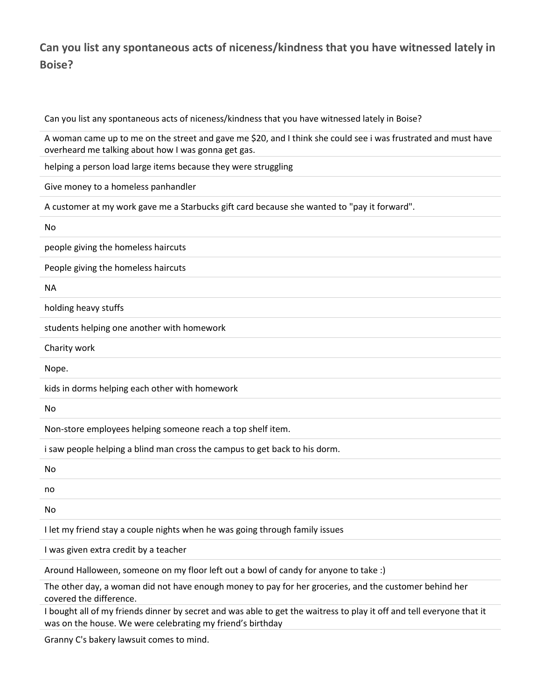## **Can you list any spontaneous acts of niceness/kindness that you have witnessed lately in Boise?**

Can you list any spontaneous acts of niceness/kindness that you have witnessed lately in Boise?

A woman came up to me on the street and gave me \$20, and I think she could see i was frustrated and must have overheard me talking about how I was gonna get gas.

helping a person load large items because they were struggling

Give money to a homeless panhandler

A customer at my work gave me a Starbucks gift card because she wanted to "pay it forward".

No

people giving the homeless haircuts

People giving the homeless haircuts

NA

holding heavy stuffs

students helping one another with homework

Charity work

Nope.

kids in dorms helping each other with homework

No

Non-store employees helping someone reach a top shelf item.

i saw people helping a blind man cross the campus to get back to his dorm.

No

no

No

I let my friend stay a couple nights when he was going through family issues

I was given extra credit by a teacher

Around Halloween, someone on my floor left out a bowl of candy for anyone to take :)

The other day, a woman did not have enough money to pay for her groceries, and the customer behind her covered the difference.

I bought all of my friends dinner by secret and was able to get the waitress to play it off and tell everyone that it was on the house. We were celebrating my friend's birthday

Granny C's bakery lawsuit comes to mind.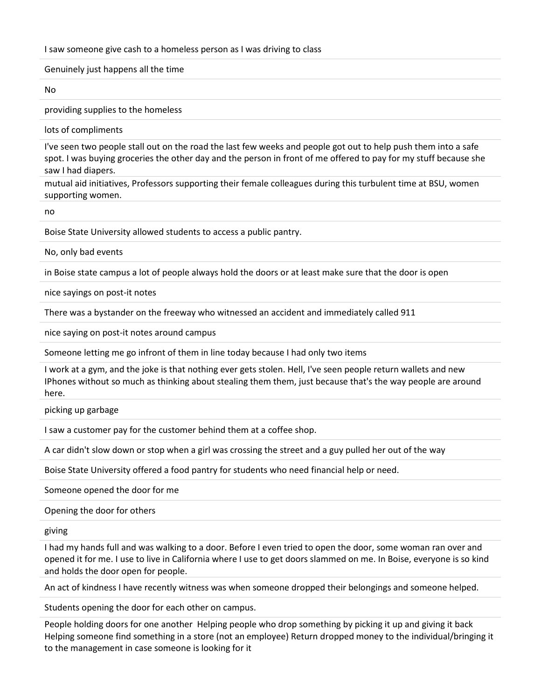I saw someone give cash to a homeless person as I was driving to class

Genuinely just happens all the time

No

providing supplies to the homeless

lots of compliments

I've seen two people stall out on the road the last few weeks and people got out to help push them into a safe spot. I was buying groceries the other day and the person in front of me offered to pay for my stuff because she saw I had diapers.

mutual aid initiatives, Professors supporting their female colleagues during this turbulent time at BSU, women supporting women.

no

Boise State University allowed students to access a public pantry.

No, only bad events

in Boise state campus a lot of people always hold the doors or at least make sure that the door is open

nice sayings on post-it notes

There was a bystander on the freeway who witnessed an accident and immediately called 911

nice saying on post-it notes around campus

Someone letting me go infront of them in line today because I had only two items

I work at a gym, and the joke is that nothing ever gets stolen. Hell, I've seen people return wallets and new IPhones without so much as thinking about stealing them them, just because that's the way people are around here.

picking up garbage

I saw a customer pay for the customer behind them at a coffee shop.

A car didn't slow down or stop when a girl was crossing the street and a guy pulled her out of the way

Boise State University offered a food pantry for students who need financial help or need.

Someone opened the door for me

Opening the door for others

giving

I had my hands full and was walking to a door. Before I even tried to open the door, some woman ran over and opened it for me. I use to live in California where I use to get doors slammed on me. In Boise, everyone is so kind and holds the door open for people.

An act of kindness I have recently witness was when someone dropped their belongings and someone helped.

Students opening the door for each other on campus.

People holding doors for one another Helping people who drop something by picking it up and giving it back Helping someone find something in a store (not an employee) Return dropped money to the individual/bringing it to the management in case someone is looking for it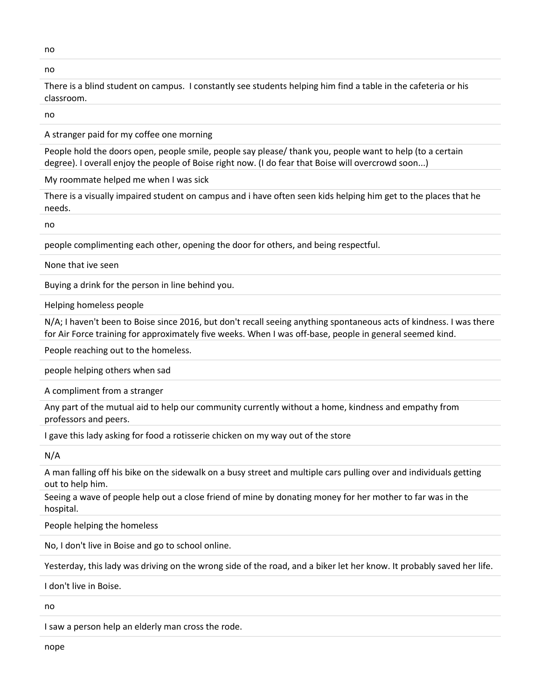no

no

There is a blind student on campus. I constantly see students helping him find a table in the cafeteria or his classroom.

no

A stranger paid for my coffee one morning

People hold the doors open, people smile, people say please/ thank you, people want to help (to a certain degree). I overall enjoy the people of Boise right now. (I do fear that Boise will overcrowd soon...)

My roommate helped me when I was sick

There is a visually impaired student on campus and i have often seen kids helping him get to the places that he needs.

no

people complimenting each other, opening the door for others, and being respectful.

None that ive seen

Buying a drink for the person in line behind you.

Helping homeless people

N/A; I haven't been to Boise since 2016, but don't recall seeing anything spontaneous acts of kindness. I was there for Air Force training for approximately five weeks. When I was off-base, people in general seemed kind.

People reaching out to the homeless.

people helping others when sad

A compliment from a stranger

Any part of the mutual aid to help our community currently without a home, kindness and empathy from professors and peers.

I gave this lady asking for food a rotisserie chicken on my way out of the store

N/A

A man falling off his bike on the sidewalk on a busy street and multiple cars pulling over and individuals getting out to help him.

Seeing a wave of people help out a close friend of mine by donating money for her mother to far was in the hospital.

People helping the homeless

No, I don't live in Boise and go to school online.

Yesterday, this lady was driving on the wrong side of the road, and a biker let her know. It probably saved her life.

I don't live in Boise.

no

I saw a person help an elderly man cross the rode.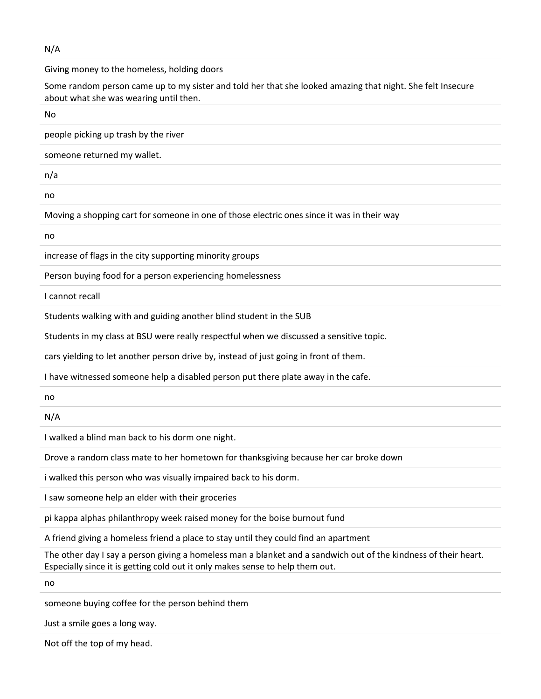N/A

Giving money to the homeless, holding doors

Some random person came up to my sister and told her that she looked amazing that night. She felt Insecure about what she was wearing until then.

No people picking up trash by the river someone returned my wallet. n/a no Moving a shopping cart for someone in one of those electric ones since it was in their way no

increase of flags in the city supporting minority groups

Person buying food for a person experiencing homelessness

I cannot recall

Students walking with and guiding another blind student in the SUB

Students in my class at BSU were really respectful when we discussed a sensitive topic.

cars yielding to let another person drive by, instead of just going in front of them.

I have witnessed someone help a disabled person put there plate away in the cafe.

no

N/A

I walked a blind man back to his dorm one night.

Drove a random class mate to her hometown for thanksgiving because her car broke down

i walked this person who was visually impaired back to his dorm.

I saw someone help an elder with their groceries

pi kappa alphas philanthropy week raised money for the boise burnout fund

A friend giving a homeless friend a place to stay until they could find an apartment

The other day I say a person giving a homeless man a blanket and a sandwich out of the kindness of their heart. Especially since it is getting cold out it only makes sense to help them out.

no

someone buying coffee for the person behind them

Just a smile goes a long way.

Not off the top of my head.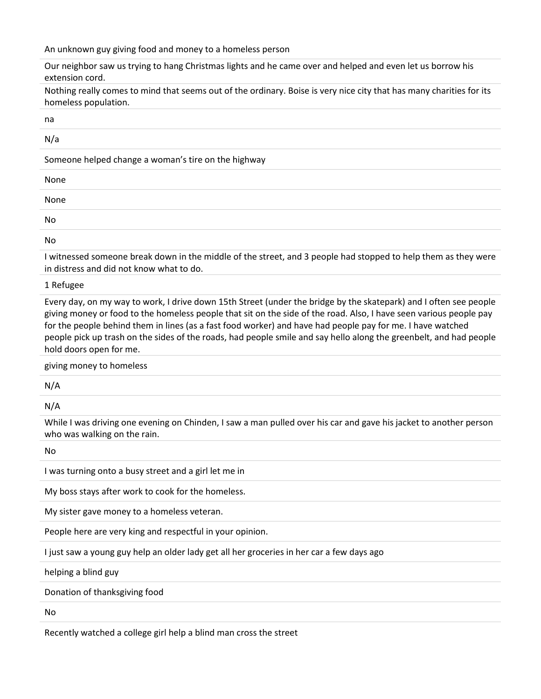An unknown guy giving food and money to a homeless person

Our neighbor saw us trying to hang Christmas lights and he came over and helped and even let us borrow his extension cord.

Nothing really comes to mind that seems out of the ordinary. Boise is very nice city that has many charities for its homeless population.

na

N/a

Someone helped change a woman's tire on the highway

| None |  |  |  |
|------|--|--|--|
| None |  |  |  |
| No   |  |  |  |
| .    |  |  |  |

No

I witnessed someone break down in the middle of the street, and 3 people had stopped to help them as they were in distress and did not know what to do.

1 Refugee

Every day, on my way to work, I drive down 15th Street (under the bridge by the skatepark) and I often see people giving money or food to the homeless people that sit on the side of the road. Also, I have seen various people pay for the people behind them in lines (as a fast food worker) and have had people pay for me. I have watched people pick up trash on the sides of the roads, had people smile and say hello along the greenbelt, and had people hold doors open for me.

giving money to homeless

N/A

N/A

While I was driving one evening on Chinden, I saw a man pulled over his car and gave his jacket to another person who was walking on the rain.

No

I was turning onto a busy street and a girl let me in

My boss stays after work to cook for the homeless.

My sister gave money to a homeless veteran.

People here are very king and respectful in your opinion.

I just saw a young guy help an older lady get all her groceries in her car a few days ago

helping a blind guy

Donation of thanksgiving food

No

Recently watched a college girl help a blind man cross the street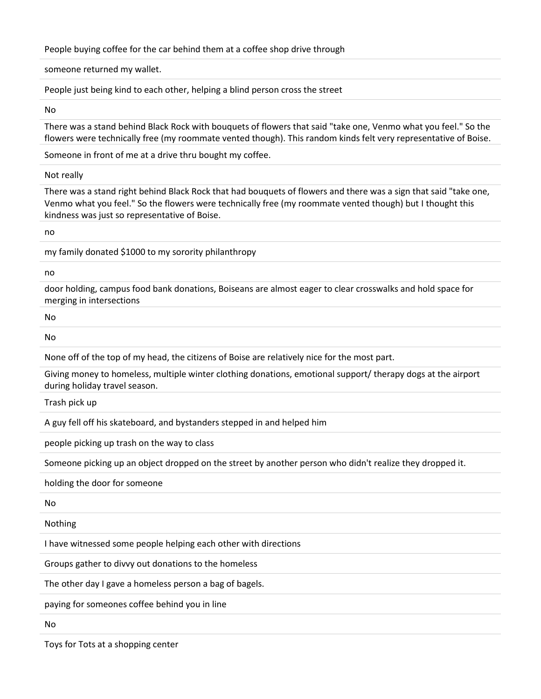People buying coffee for the car behind them at a coffee shop drive through

someone returned my wallet.

People just being kind to each other, helping a blind person cross the street

No

There was a stand behind Black Rock with bouquets of flowers that said "take one, Venmo what you feel." So the flowers were technically free (my roommate vented though). This random kinds felt very representative of Boise.

Someone in front of me at a drive thru bought my coffee.

Not really

There was a stand right behind Black Rock that had bouquets of flowers and there was a sign that said "take one, Venmo what you feel." So the flowers were technically free (my roommate vented though) but I thought this kindness was just so representative of Boise.

no

my family donated \$1000 to my sorority philanthropy

no

door holding, campus food bank donations, Boiseans are almost eager to clear crosswalks and hold space for merging in intersections

No

No

None off of the top of my head, the citizens of Boise are relatively nice for the most part.

Giving money to homeless, multiple winter clothing donations, emotional support/ therapy dogs at the airport during holiday travel season.

Trash pick up

A guy fell off his skateboard, and bystanders stepped in and helped him

people picking up trash on the way to class

Someone picking up an object dropped on the street by another person who didn't realize they dropped it.

holding the door for someone

No

Nothing

I have witnessed some people helping each other with directions

Groups gather to divvy out donations to the homeless

The other day I gave a homeless person a bag of bagels.

paying for someones coffee behind you in line

No

Toys for Tots at a shopping center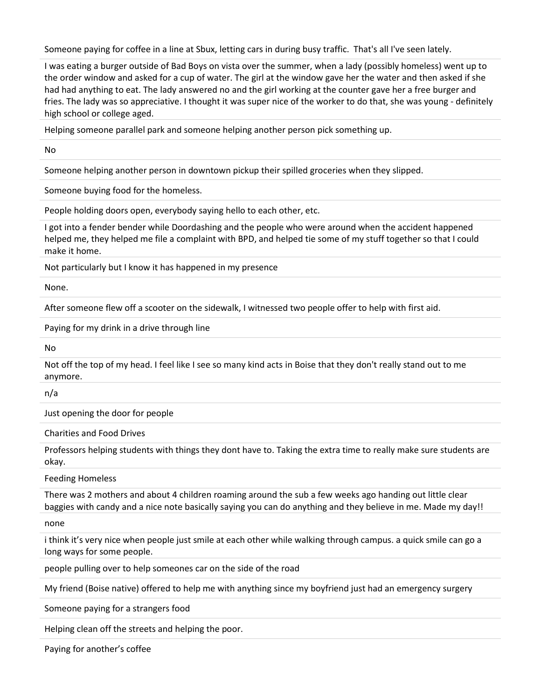Someone paying for coffee in a line at Sbux, letting cars in during busy traffic. That's all I've seen lately.

I was eating a burger outside of Bad Boys on vista over the summer, when a lady (possibly homeless) went up to the order window and asked for a cup of water. The girl at the window gave her the water and then asked if she had had anything to eat. The lady answered no and the girl working at the counter gave her a free burger and fries. The lady was so appreciative. I thought it was super nice of the worker to do that, she was young - definitely high school or college aged.

Helping someone parallel park and someone helping another person pick something up.

No

Someone helping another person in downtown pickup their spilled groceries when they slipped.

Someone buying food for the homeless.

People holding doors open, everybody saying hello to each other, etc.

I got into a fender bender while Doordashing and the people who were around when the accident happened helped me, they helped me file a complaint with BPD, and helped tie some of my stuff together so that I could make it home.

Not particularly but I know it has happened in my presence

None.

After someone flew off a scooter on the sidewalk, I witnessed two people offer to help with first aid.

Paying for my drink in a drive through line

No

Not off the top of my head. I feel like I see so many kind acts in Boise that they don't really stand out to me anymore.

n/a

Just opening the door for people

Charities and Food Drives

Professors helping students with things they dont have to. Taking the extra time to really make sure students are okay.

Feeding Homeless

There was 2 mothers and about 4 children roaming around the sub a few weeks ago handing out little clear baggies with candy and a nice note basically saying you can do anything and they believe in me. Made my day!!

none

i think it's very nice when people just smile at each other while walking through campus. a quick smile can go a long ways for some people.

people pulling over to help someones car on the side of the road

My friend (Boise native) offered to help me with anything since my boyfriend just had an emergency surgery

Someone paying for a strangers food

Helping clean off the streets and helping the poor.

Paying for another's coffee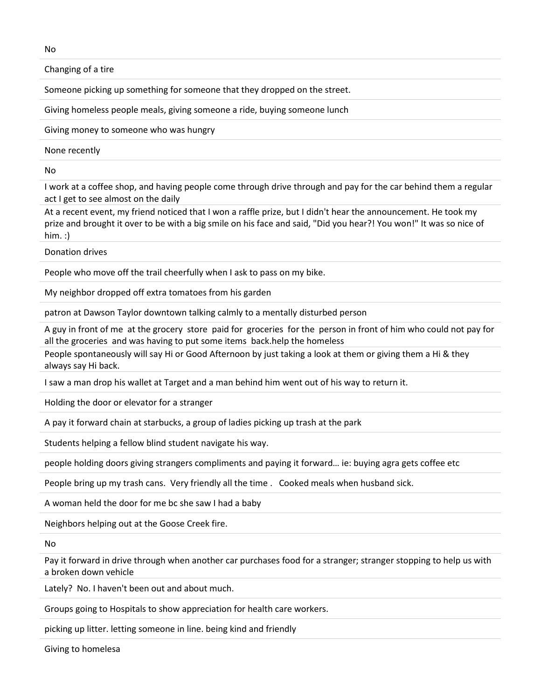Changing of a tire

Someone picking up something for someone that they dropped on the street.

Giving homeless people meals, giving someone a ride, buying someone lunch

Giving money to someone who was hungry

None recently

No

I work at a coffee shop, and having people come through drive through and pay for the car behind them a regular act I get to see almost on the daily

At a recent event, my friend noticed that I won a raffle prize, but I didn't hear the announcement. He took my prize and brought it over to be with a big smile on his face and said, "Did you hear?! You won!" It was so nice of him. :)

Donation drives

People who move off the trail cheerfully when I ask to pass on my bike.

My neighbor dropped off extra tomatoes from his garden

patron at Dawson Taylor downtown talking calmly to a mentally disturbed person

A guy in front of me at the grocery store paid for groceries for the person in front of him who could not pay for all the groceries and was having to put some items back.help the homeless

People spontaneously will say Hi or Good Afternoon by just taking a look at them or giving them a Hi & they always say Hi back.

I saw a man drop his wallet at Target and a man behind him went out of his way to return it.

Holding the door or elevator for a stranger

A pay it forward chain at starbucks, a group of ladies picking up trash at the park

Students helping a fellow blind student navigate his way.

people holding doors giving strangers compliments and paying it forward… ie: buying agra gets coffee etc

People bring up my trash cans. Very friendly all the time . Cooked meals when husband sick.

A woman held the door for me bc she saw I had a baby

Neighbors helping out at the Goose Creek fire.

No

Pay it forward in drive through when another car purchases food for a stranger; stranger stopping to help us with a broken down vehicle

Lately? No. I haven't been out and about much.

Groups going to Hospitals to show appreciation for health care workers.

picking up litter. letting someone in line. being kind and friendly

Giving to homelesa

No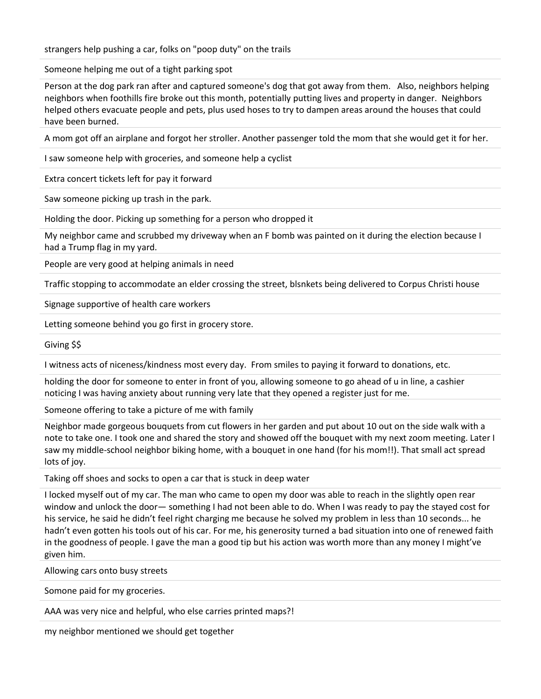strangers help pushing a car, folks on "poop duty" on the trails

Someone helping me out of a tight parking spot

Person at the dog park ran after and captured someone's dog that got away from them. Also, neighbors helping neighbors when foothills fire broke out this month, potentially putting lives and property in danger. Neighbors helped others evacuate people and pets, plus used hoses to try to dampen areas around the houses that could have been burned.

A mom got off an airplane and forgot her stroller. Another passenger told the mom that she would get it for her.

I saw someone help with groceries, and someone help a cyclist

Extra concert tickets left for pay it forward

Saw someone picking up trash in the park.

Holding the door. Picking up something for a person who dropped it

My neighbor came and scrubbed my driveway when an F bomb was painted on it during the election because I had a Trump flag in my yard.

People are very good at helping animals in need

Traffic stopping to accommodate an elder crossing the street, blsnkets being delivered to Corpus Christi house

Signage supportive of health care workers

Letting someone behind you go first in grocery store.

Giving \$\$

I witness acts of niceness/kindness most every day. From smiles to paying it forward to donations, etc.

holding the door for someone to enter in front of you, allowing someone to go ahead of u in line, a cashier noticing I was having anxiety about running very late that they opened a register just for me.

Someone offering to take a picture of me with family

Neighbor made gorgeous bouquets from cut flowers in her garden and put about 10 out on the side walk with a note to take one. I took one and shared the story and showed off the bouquet with my next zoom meeting. Later I saw my middle-school neighbor biking home, with a bouquet in one hand (for his mom!!). That small act spread lots of joy.

Taking off shoes and socks to open a car that is stuck in deep water

I locked myself out of my car. The man who came to open my door was able to reach in the slightly open rear window and unlock the door— something I had not been able to do. When I was ready to pay the stayed cost for his service, he said he didn't feel right charging me because he solved my problem in less than 10 seconds... he hadn't even gotten his tools out of his car. For me, his generosity turned a bad situation into one of renewed faith in the goodness of people. I gave the man a good tip but his action was worth more than any money I might've given him.

Allowing cars onto busy streets

Somone paid for my groceries.

AAA was very nice and helpful, who else carries printed maps?!

my neighbor mentioned we should get together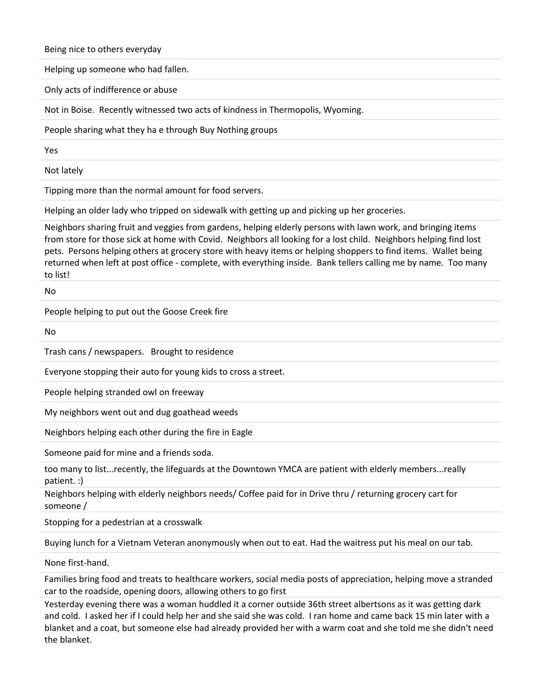Being nice to others everyday

Helping up someone who had fallen.

Only acts of indifference or abuse

Not in Boise. Recently witnessed two acts of kindness in Thermopolis, Wyoming.

People sharing what they ha e through Buy Nothing groups

Yes

Not lately

Tipping more than the normal amount for food servers.

Helping an older lady who tripped on sidewalk with getting up and picking up her groceries.

Neighbors sharing fruit and veggies from gardens, helping elderly persons with lawn work, and bringing items from store for those sick at home with Covid. Neighbors all looking for a lost child. Neighbors helping find lost pets. Persons helping others at grocery store with heavy items or helping shoppers to find items. Wallet being returned when left at post office - complete, with everything inside. Bank tellers calling me by name. Too many to list!

No

People helping to put out the Goose Creek fire

No

Trash cans / newspapers. Brought to residence

Everyone stopping their auto for young kids to cross a street.

People helping stranded owl on freeway

My neighbors went out and dug goathead weeds

Neighbors helping each other during the fire in Eagle

Someone paid for mine and a friends soda.

too many to list...recently, the lifeguards at the Downtown YMCA are patient with elderly members...really patient. :)

Neighbors helping with elderly neighbors needs/ Coffee paid for in Drive thru / returning grocery cart for someone /

Stopping for a pedestrian at a crosswalk

Buying lunch for a Vietnam Veteran anonymously when out to eat. Had the waitress put his meal on our tab.

None first-hand.

Families bring food and treats to healthcare workers, social media posts of appreciation, helping move a stranded car to the roadside, opening doors, allowing others to go first

Yesterday evening there was a woman huddled it a corner outside 36th street albertsons as it was getting dark and cold. I asked her if I could help her and she said she was cold. I ran home and came back 15 min later with a blanket and a coat, but someone else had already provided her with a warm coat and she told me she didn't need the blanket.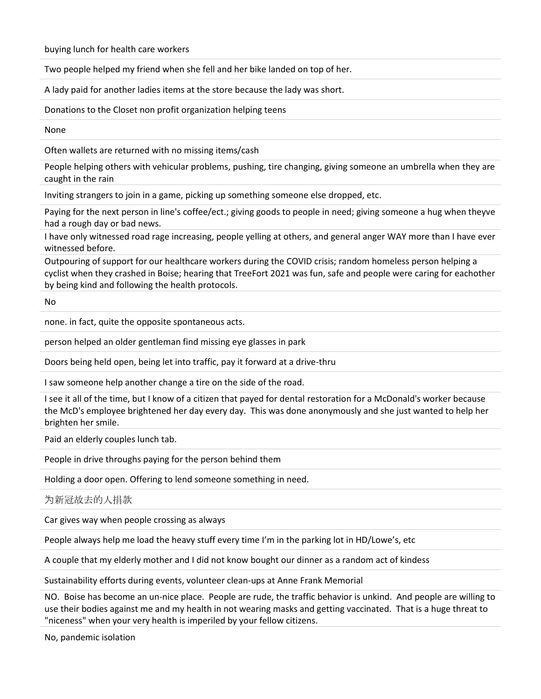buying lunch for health care workers

Two people helped my friend when she fell and her bike landed on top of her.

A lady paid for another ladies items at the store because the lady was short.

Donations to the Closet non profit organization helping teens

None

Often wallets are returned with no missing items/cash

People helping others with vehicular problems, pushing, tire changing, giving someone an umbrella when they are caught in the rain

Inviting strangers to join in a game, picking up something someone else dropped, etc.

Paying for the next person in line's coffee/ect.; giving goods to people in need; giving someone a hug when theyve had a rough day or bad news.

I have only witnessed road rage increasing, people yelling at others, and general anger WAY more than I have ever witnessed before.

Outpouring of support for our healthcare workers during the COVID crisis; random homeless person helping a cyclist when they crashed in Boise; hearing that TreeFort 2021 was fun, safe and people were caring for eachother by being kind and following the health protocols.

No

none. in fact, quite the opposite spontaneous acts.

person helped an older gentleman find missing eye glasses in park

Doors being held open, being let into traffic, pay it forward at a drive-thru

I saw someone help another change a tire on the side of the road.

I see it all of the time, but I know of a citizen that payed for dental restoration for a McDonald's worker because the McD's employee brightened her day every day. This was done anonymously and she just wanted to help her brighten her smile.

Paid an elderly couples lunch tab.

People in drive throughs paying for the person behind them

Holding a door open. Offering to lend someone something in need.

为新冠故去的人捐款

Car gives way when people crossing as always

People always help me load the heavy stuff every time I'm in the parking lot in HD/Lowe's, etc

A couple that my elderly mother and I did not know bought our dinner as a random act of kindess

Sustainability efforts during events, volunteer clean-ups at Anne Frank Memorial

NO. Boise has become an un-nice place. People are rude, the traffic behavior is unkind. And people are willing to use their bodies against me and my health in not wearing masks and getting vaccinated. That is a huge threat to "niceness" when your very health is imperiled by your fellow citizens.

No, pandemic isolation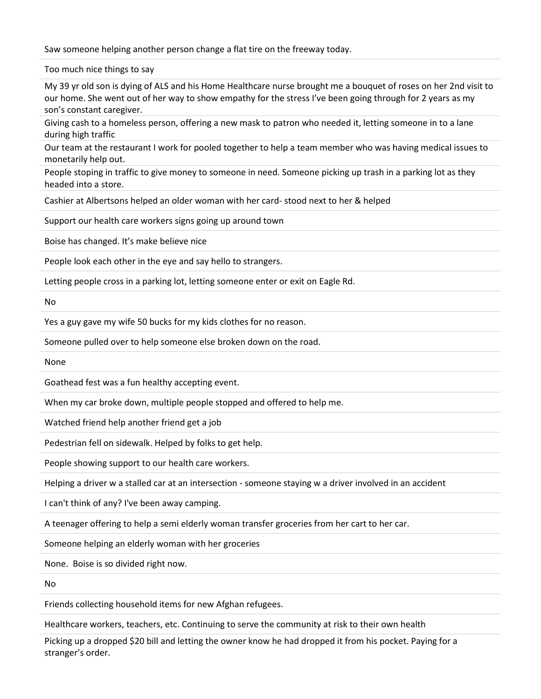Saw someone helping another person change a flat tire on the freeway today.

Too much nice things to say

My 39 yr old son is dying of ALS and his Home Healthcare nurse brought me a bouquet of roses on her 2nd visit to our home. She went out of her way to show empathy for the stress I've been going through for 2 years as my son's constant caregiver.

Giving cash to a homeless person, offering a new mask to patron who needed it, letting someone in to a lane during high traffic

Our team at the restaurant I work for pooled together to help a team member who was having medical issues to monetarily help out.

People stoping in traffic to give money to someone in need. Someone picking up trash in a parking lot as they headed into a store.

Cashier at Albertsons helped an older woman with her card- stood next to her & helped

Support our health care workers signs going up around town

Boise has changed. It's make believe nice

People look each other in the eye and say hello to strangers.

Letting people cross in a parking lot, letting someone enter or exit on Eagle Rd.

No

Yes a guy gave my wife 50 bucks for my kids clothes for no reason.

Someone pulled over to help someone else broken down on the road.

None

Goathead fest was a fun healthy accepting event.

When my car broke down, multiple people stopped and offered to help me.

Watched friend help another friend get a job

Pedestrian fell on sidewalk. Helped by folks to get help.

People showing support to our health care workers.

Helping a driver w a stalled car at an intersection - someone staying w a driver involved in an accident

I can't think of any? I've been away camping.

A teenager offering to help a semi elderly woman transfer groceries from her cart to her car.

Someone helping an elderly woman with her groceries

None. Boise is so divided right now.

No

Friends collecting household items for new Afghan refugees.

Healthcare workers, teachers, etc. Continuing to serve the community at risk to their own health

Picking up a dropped \$20 bill and letting the owner know he had dropped it from his pocket. Paying for a stranger's order.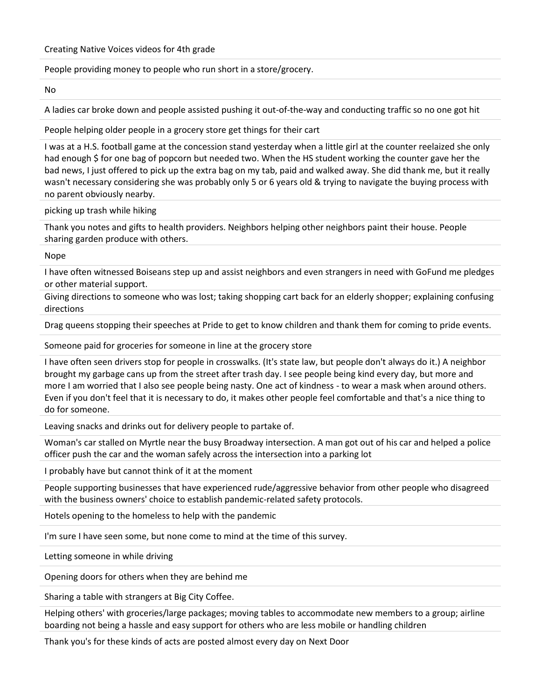## People providing money to people who run short in a store/grocery.

No

A ladies car broke down and people assisted pushing it out-of-the-way and conducting traffic so no one got hit

People helping older people in a grocery store get things for their cart

I was at a H.S. football game at the concession stand yesterday when a little girl at the counter reelaized she only had enough \$ for one bag of popcorn but needed two. When the HS student working the counter gave her the bad news, I just offered to pick up the extra bag on my tab, paid and walked away. She did thank me, but it really wasn't necessary considering she was probably only 5 or 6 years old & trying to navigate the buying process with no parent obviously nearby.

picking up trash while hiking

Thank you notes and gifts to health providers. Neighbors helping other neighbors paint their house. People sharing garden produce with others.

Nope

I have often witnessed Boiseans step up and assist neighbors and even strangers in need with GoFund me pledges or other material support.

Giving directions to someone who was lost; taking shopping cart back for an elderly shopper; explaining confusing directions

Drag queens stopping their speeches at Pride to get to know children and thank them for coming to pride events.

Someone paid for groceries for someone in line at the grocery store

I have often seen drivers stop for people in crosswalks. (It's state law, but people don't always do it.) A neighbor brought my garbage cans up from the street after trash day. I see people being kind every day, but more and more I am worried that I also see people being nasty. One act of kindness - to wear a mask when around others. Even if you don't feel that it is necessary to do, it makes other people feel comfortable and that's a nice thing to do for someone.

Leaving snacks and drinks out for delivery people to partake of.

Woman's car stalled on Myrtle near the busy Broadway intersection. A man got out of his car and helped a police officer push the car and the woman safely across the intersection into a parking lot

I probably have but cannot think of it at the moment

People supporting businesses that have experienced rude/aggressive behavior from other people who disagreed with the business owners' choice to establish pandemic-related safety protocols.

Hotels opening to the homeless to help with the pandemic

I'm sure I have seen some, but none come to mind at the time of this survey.

Letting someone in while driving

Opening doors for others when they are behind me

Sharing a table with strangers at Big City Coffee.

Helping others' with groceries/large packages; moving tables to accommodate new members to a group; airline boarding not being a hassle and easy support for others who are less mobile or handling children

Thank you's for these kinds of acts are posted almost every day on Next Door